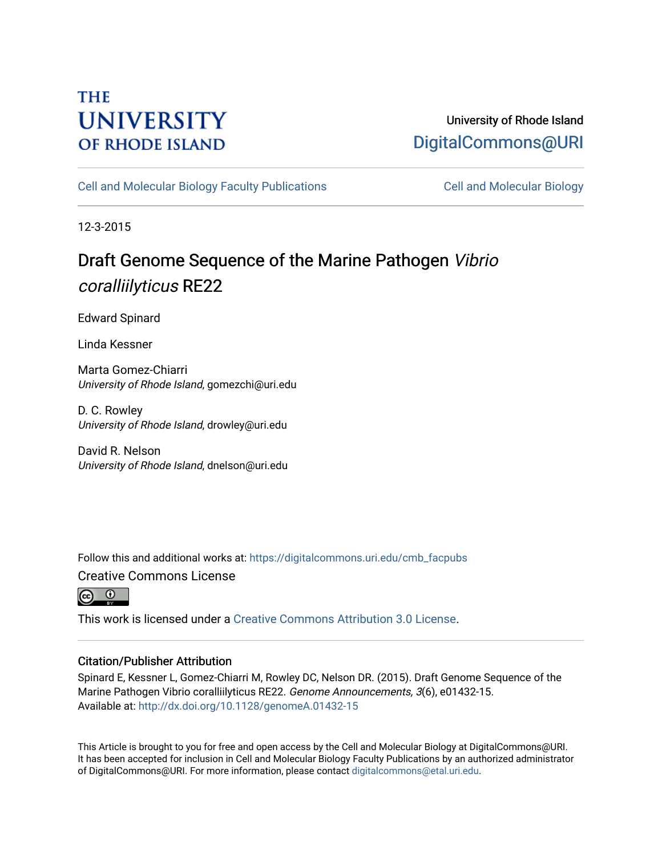# **THE UNIVERSITY OF RHODE ISLAND**

### University of Rhode Island [DigitalCommons@URI](https://digitalcommons.uri.edu/)

[Cell and Molecular Biology Faculty Publications](https://digitalcommons.uri.edu/cmb_facpubs) [Cell and Molecular Biology](https://digitalcommons.uri.edu/cmb) 

12-3-2015

# Draft Genome Sequence of the Marine Pathogen Vibrio coralliilyticus RE22

Edward Spinard

Linda Kessner

Marta Gomez-Chiarri University of Rhode Island, gomezchi@uri.edu

D. C. Rowley University of Rhode Island, drowley@uri.edu

David R. Nelson University of Rhode Island, dnelson@uri.edu

Follow this and additional works at: [https://digitalcommons.uri.edu/cmb\\_facpubs](https://digitalcommons.uri.edu/cmb_facpubs?utm_source=digitalcommons.uri.edu%2Fcmb_facpubs%2F25&utm_medium=PDF&utm_campaign=PDFCoverPages)  Creative Commons License



This work is licensed under a [Creative Commons Attribution 3.0 License](https://creativecommons.org/licenses/by/3.0/).

### Citation/Publisher Attribution

Spinard E, Kessner L, Gomez-Chiarri M, Rowley DC, Nelson DR. (2015). Draft Genome Sequence of the Marine Pathogen Vibrio coralliilyticus RE22. Genome Announcements, 3(6), e01432-15. Available at:<http://dx.doi.org/10.1128/genomeA.01432-15>

This Article is brought to you for free and open access by the Cell and Molecular Biology at DigitalCommons@URI. It has been accepted for inclusion in Cell and Molecular Biology Faculty Publications by an authorized administrator of DigitalCommons@URI. For more information, please contact [digitalcommons@etal.uri.edu](mailto:digitalcommons@etal.uri.edu).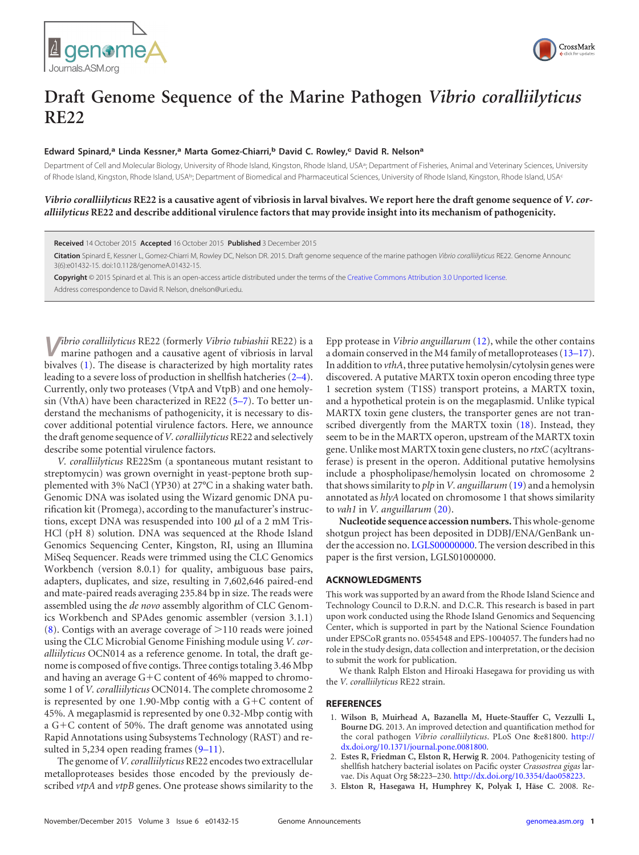



## **Draft Genome Sequence of the Marine Pathogen** *Vibrio coralliilyticus* **RE22**

### **Edward Spinard,<sup>a</sup> Linda Kessner,<sup>a</sup> Marta Gomez-Chiarri,<sup>b</sup> David C. Rowley,<sup>c</sup> David R. Nelson<sup>a</sup>**

Department of Cell and Molecular Biology, University of Rhode Island, Kingston, Rhode Island, USA<sup>a</sup>; Department of Fisheries, Animal and Veterinary Sciences, University of Rhode Island, Kingston, Rhode Island, USA<sup>b;</sup> Department of Biomedical and Pharmaceutical Sciences, University of Rhode Island, Kingston, Rhode Island, USA<sup>c</sup>

### *Vibrio coralliilyticus* **RE22 is a causative agent of vibriosis in larval bivalves. We report here the draft genome sequence of** *V. coralliilyticus* **RE22 and describe additional virulence factors that may provide insight into its mechanism of pathogenicity.**

**Received** 14 October 2015 **Accepted** 16 October 2015 **Published** 3 December 2015

**Citation** Spinard E, Kessner L, Gomez-Chiarri M, Rowley DC, Nelson DR. 2015. Draft genome sequence of the marine pathogen *Vibrio coralliilyticus* RE22. Genome Announc 3(6):e01432-15. doi:10.1128/genomeA.01432-15.

**Copyright** © 2015 Spinard et al. This is an open-access article distributed under the terms of the Creative Commons Attribution 3.0 Unported license. Address correspondence to David R. Nelson, dnelson@uri.edu.

**V***ibrio coralliilyticus* RE22 (formerly *Vibrio tubiashii* RE22) is a marine pathogen and a causative agent of vibriosis in larval bivalves [\(1\)](#page-1-0). The disease is characterized by high mortality rates leading to a severe loss of production in shellfish hatcheries [\(2](#page-1-1)[–](#page-1-2)[4\)](#page-2-0). Currently, only two proteases (VtpA and VtpB) and one hemolysin (VthA) have been characterized in RE22 [\(5](#page-2-1)[–](#page-2-2)[7\)](#page-2-3). To better understand the mechanisms of pathogenicity, it is necessary to discover additional potential virulence factors. Here, we announce the draft genome sequence of*V. coralliilyticus* RE22 and selectively describe some potential virulence factors.

*V. coralliilyticus* RE22Sm (a spontaneous mutant resistant to streptomycin) was grown overnight in yeast-peptone broth supplemented with 3% NaCl (YP30) at 27°C in a shaking water bath. Genomic DNA was isolated using the Wizard genomic DNA purification kit (Promega), according to the manufacturer's instructions, except DNA was resuspended into 100  $\mu$ l of a 2 mM Tris-HCl (pH 8) solution. DNA was sequenced at the Rhode Island Genomics Sequencing Center, Kingston, RI, using an Illumina MiSeq Sequencer. Reads were trimmed using the CLC Genomics Workbench (version 8.0.1) for quality, ambiguous base pairs, adapters, duplicates, and size, resulting in 7,602,646 paired-end and mate-paired reads averaging 235.84 bp in size. The reads were assembled using the *de novo* assembly algorithm of CLC Genomics Workbench and SPAdes genomic assembler (version 3.1.1)  $(8)$ . Contigs with an average coverage of  $>$ 110 reads were joined using the CLC Microbial Genome Finishing module using *V. coralliilyticus* OCN014 as a reference genome. In total, the draft genome is composed of five contigs. Three contigs totaling 3.46 Mbp and having an average  $G+C$  content of 46% mapped to chromosome 1 of *V. coralliilyticus* OCN014. The complete chromosome 2 is represented by one 1.90-Mbp contig with a  $G+C$  content of 45%. A megaplasmid is represented by one 0.32-Mbp contig with a  $G+C$  content of 50%. The draft genome was annotated using Rapid Annotations using Subsystems Technology (RAST) and resulted in 5,234 open reading frames  $(9-11)$  $(9-11)$  $(9-11)$ .

The genome of*V. coralliilyticus* RE22 encodes two extracellular metalloproteases besides those encoded by the previously described *vtpA* and *vtpB* genes. One protease shows similarity to the Epp protease in *Vibrio anguillarum* [\(12\)](#page-2-8), while the other contains a domain conserved in the M4 family of metalloproteases [\(13](#page-2-9)[–](#page-2-10)[17\)](#page-2-11). In addition to *vthA*, three putative hemolysin/cytolysin genes were discovered. A putative MARTX toxin operon encoding three type 1 secretion system (T1SS) transport proteins, a MARTX toxin, and a hypothetical protein is on the megaplasmid. Unlike typical MARTX toxin gene clusters, the transporter genes are not transcribed divergently from the MARTX toxin [\(18\)](#page-2-12). Instead, they seem to be in the MARTX operon, upstream of the MARTX toxin gene. Unlike most MARTX toxin gene clusters, no *rtxC*(acyltransferase) is present in the operon. Additional putative hemolysins include a phospholipase/hemolysin located on chromosome 2 that shows similarity to *plp* in*V. anguillarum*[\(19\)](#page-2-13) and a hemolysin annotated as *hlyA* located on chromosome 1 that shows similarity to *vah1* in *V. anguillarum* [\(20\)](#page-2-14).

**Nucleotide sequence accession numbers.**This whole-genome shotgun project has been deposited in DDBJ/ENA/GenBank under the accession no. LGLS00000000. The version described in this paper is the first version, LGLS01000000.

#### **ACKNOWLEDGMENTS**

This work was supported by an award from the Rhode Island Science and Technology Council to D.R.N. and D.C.R. This research is based in part upon work conducted using the Rhode Island Genomics and Sequencing Center, which is supported in part by the National Science Foundation under EPSCoR grants no. 0554548 and EPS-1004057. The funders had no role in the study design, data collection and interpretation, or the decision to submit the work for publication.

We thank Ralph Elston and Hiroaki Hasegawa for providing us with the *V. coralliilyticus* RE22 strain.

#### <span id="page-1-0"></span>**REFERENCES**

- 1. **Wilson B, Muirhead A, Bazanella M, Huete-Stauffer C, Vezzulli L, Bourne DG**. 2013. An improved detection and quantification method for the coral pathogen *Vibrio coralliilyticus*. PLoS One **8:**e81800. http:// dx.doi.org/10.1371/journal.pone.0081800.
- <span id="page-1-1"></span>2. **Estes R, Friedman C, Elston R, Herwig R**. 2004. Pathogenicity testing of shellfish hatchery bacterial isolates on Pacific oyster *Crassostrea gigas* larvae. Dis Aquat Org **58:**223–230. http://dx.doi.org/10.3354/dao058223.
- <span id="page-1-2"></span>3. **Elston R, Hasegawa H, Humphrey K, Polyak I, Häse C**. 2008. Re-